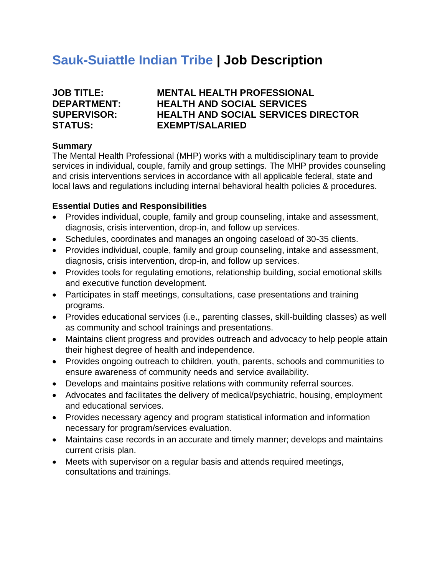# **Sauk-Suiattle Indian Tribe | Job Description**

| <b>JOB TITLE:</b>  |
|--------------------|
| <b>DEPARTMENT:</b> |
| <b>SUPERVISOR:</b> |
| <b>STATUS:</b>     |

# **MENTAL HEALTH PROFESSIONAL HEALTH AND SOCIAL SERVICES HEALTH AND SOCIAL SERVICES DIRECTOR EXEMPT/SALARIED**

#### **Summary**

The Mental Health Professional (MHP) works with a multidisciplinary team to provide services in individual, couple, family and group settings. The MHP provides counseling and crisis interventions services in accordance with all applicable federal, state and local laws and regulations including internal behavioral health policies & procedures.

#### **Essential Duties and Responsibilities**

- Provides individual, couple, family and group counseling, intake and assessment, diagnosis, crisis intervention, drop-in, and follow up services.
- Schedules, coordinates and manages an ongoing caseload of 30-35 clients.
- Provides individual, couple, family and group counseling, intake and assessment, diagnosis, crisis intervention, drop-in, and follow up services.
- Provides tools for regulating emotions, relationship building, social emotional skills and executive function development.
- Participates in staff meetings, consultations, case presentations and training programs.
- Provides educational services (i.e., parenting classes, skill-building classes) as well as community and school trainings and presentations.
- Maintains client progress and provides outreach and advocacy to help people attain their highest degree of health and independence.
- Provides ongoing outreach to children, youth, parents, schools and communities to ensure awareness of community needs and service availability.
- Develops and maintains positive relations with community referral sources.
- Advocates and facilitates the delivery of medical/psychiatric, housing, employment and educational services.
- Provides necessary agency and program statistical information and information necessary for program/services evaluation.
- Maintains case records in an accurate and timely manner; develops and maintains current crisis plan.
- Meets with supervisor on a regular basis and attends required meetings, consultations and trainings.